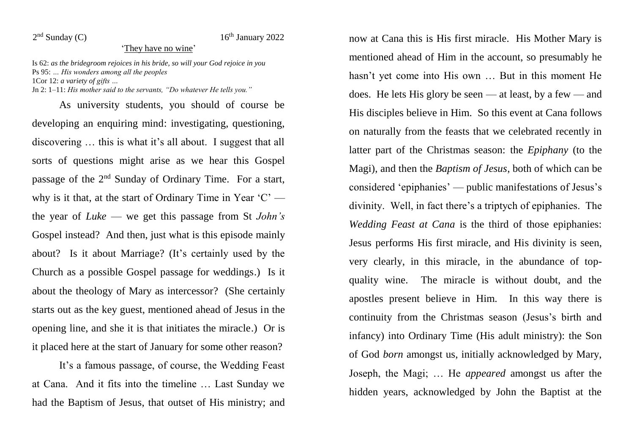$2<sup>nd</sup>$  Sunday (C)

## $16<sup>th</sup>$  January 2022

## 'They have no wine'

Is 62: *as the bridegroom rejoices in his bride, so will your God rejoice in you* Ps 95: *… His wonders among all the peoples* 1Cor 12: *a variety of gifts …*

Jn 2: 1–11: *His mother said to the servants, "Do whatever He tells you."*

As university students, you should of course be developing an enquiring mind: investigating, questioning, discovering … this is what it's all about. I suggest that all sorts of questions might arise as we hear this Gospel passage of the 2nd Sunday of Ordinary Time. For a start, why is it that, at the start of Ordinary Time in Year 'C' the year of *Luke* — we get this passage from St *John's* Gospel instead? And then, just what is this episode mainly about? Is it about Marriage? (It's certainly used by the Church as a possible Gospel passage for weddings.) Is it about the theology of Mary as intercessor? (She certainly starts out as the key guest, mentioned ahead of Jesus in the opening line, and she it is that initiates the miracle.) Or is it placed here at the start of January for some other reason?

It's a famous passage, of course, the Wedding Feast at Cana. And it fits into the timeline … Last Sunday we had the Baptism of Jesus, that outset of His ministry; and now at Cana this is His first miracle. His Mother Mary is mentioned ahead of Him in the account, so presumably he hasn't yet come into His own … But in this moment He does. He lets His glory be seen — at least, by a few — and His disciples believe in Him. So this event at Cana follows on naturally from the feasts that we celebrated recently in latter part of the Christmas season: the *Epiphany* (to the Magi), and then the *Baptism of Jesus*, both of which can be considered 'epiphanies' — public manifestations of Jesus's divinity. Well, in fact there's a triptych of epiphanies. The *Wedding Feast at Cana* is the third of those epiphanies: Jesus performs His first miracle, and His divinity is seen, very clearly, in this miracle, in the abundance of topquality wine. The miracle is without doubt, and the apostles present believe in Him. In this way there is continuity from the Christmas season (Jesus's birth and infancy) into Ordinary Time (His adult ministry): the Son of God *born* amongst us, initially acknowledged by Mary, Joseph, the Magi; … He *appeared* amongst us after the hidden years, acknowledged by John the Baptist at the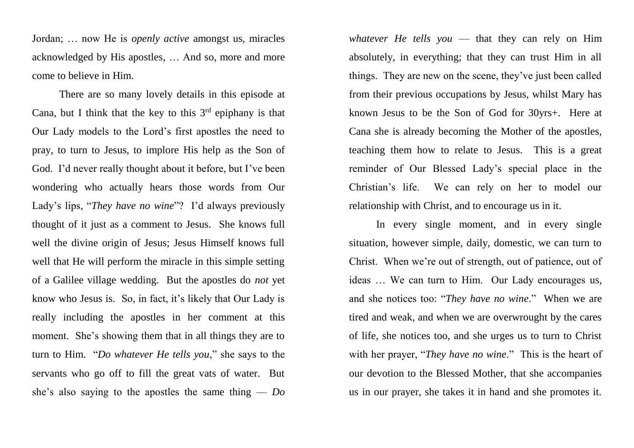Jordan; … now He is *openly active* amongst us, miracles acknowledged by His apostles, … And so, more and more come to believe in Him.

There are so many lovely details in this episode at Cana, but I think that the key to this  $3<sup>rd</sup>$  epiphany is that Our Lady models to the Lord's first apostles the need to pray, to turn to Jesus, to implore His help as the Son of God. I'd never really thought about it before, but I've been wondering who actually hears those words from Our Lady's lips, "*They have no wine*"? I'd always previously thought of it just as a comment to Jesus. She knows full well the divine origin of Jesus; Jesus Himself knows full well that He will perform the miracle in this simple setting of a Galilee village wedding. But the apostles do *not* yet know who Jesus is. So, in fact, it's likely that Our Lady is really including the apostles in her comment at this moment. She's showing them that in all things they are to turn to Him. "*Do whatever He tells you*," she says to the servants who go off to fill the great vats of water. But she's also saying to the apostles the same thing — *Do* 

*whatever He tells you* — that they can rely on Him absolutely, in everything; that they can trust Him in all things. They are new on the scene, they've just been called from their previous occupations by Jesus, whilst Mary has known Jesus to be the Son of God for 30yrs+. Here at Cana she is already becoming the Mother of the apostles, teaching them how to relate to Jesus. This is a great reminder of Our Blessed Lady's special place in the Christian's life. We can rely on her to model our relationship with Christ, and to encourage us in it.

In every single moment, and in every single situation, however simple, daily, domestic, we can turn to Christ. When we're out of strength, out of patience, out of ideas … We can turn to Him. Our Lady encourages us, and she notices too: "*They have no wine*." When we are tired and weak, and when we are overwrought by the cares of life, she notices too, and she urges us to turn to Christ with her prayer, "*They have no wine*." This is the heart of our devotion to the Blessed Mother, that she accompanies us in our prayer, she takes it in hand and she promotes it.